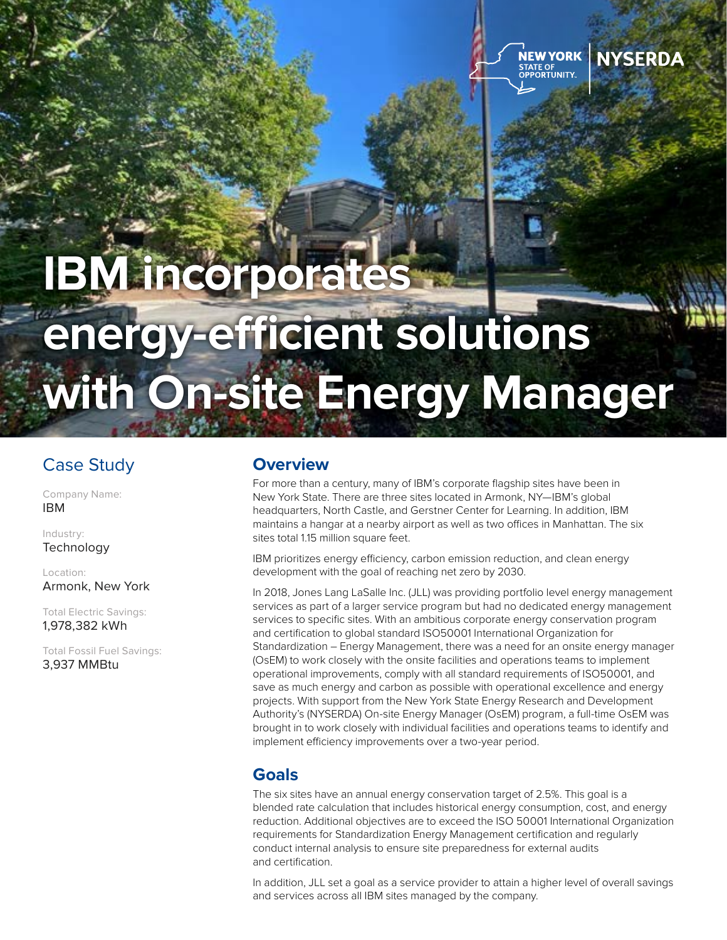

## **NYSERDA**

# **IBM incorporates energy-efficient solutions with On-site Energy Manager**

## Case Study

Company Name: IBM

Industry: **Technology** 

Location: Armonk, New York

Total Electric Savings: 1,978,382 kWh

Total Fossil Fuel Savings: 3,937 MMBtu

## **Overview**

For more than a century, many of IBM's corporate flagship sites have been in New York State. There are three sites located in Armonk, NY—IBM's global headquarters, North Castle, and Gerstner Center for Learning. In addition, IBM maintains a hangar at a nearby airport as well as two offices in Manhattan. The six sites total 1.15 million square feet.

IBM prioritizes energy efficiency, carbon emission reduction, and clean energy development with the goal of reaching net zero by 2030.

In 2018, Jones Lang LaSalle Inc. (JLL) was providing portfolio level energy management services as part of a larger service program but had no dedicated energy management services to specific sites. With an ambitious corporate energy conservation program and certification to global standard ISO50001 International Organization for Standardization – Energy Management, there was a need for an onsite energy manager (OsEM) to work closely with the onsite facilities and operations teams to implement operational improvements, comply with all standard requirements of ISO50001, and save as much energy and carbon as possible with operational excellence and energy projects. With support from the New York State Energy Research and Development Authority's (NYSERDA) On-site Energy Manager (OsEM) program, a full-time OsEM was brought in to work closely with individual facilities and operations teams to identify and implement efficiency improvements over a two-year period.

## **Goals**

The six sites have an annual energy conservation target of 2.5%. This goal is a blended rate calculation that includes historical energy consumption, cost, and energy reduction. Additional objectives are to exceed the ISO 50001 International Organization requirements for Standardization Energy Management certification and regularly conduct internal analysis to ensure site preparedness for external audits and certification.

In addition, JLL set a goal as a service provider to attain a higher level of overall savings and services across all IBM sites managed by the company.